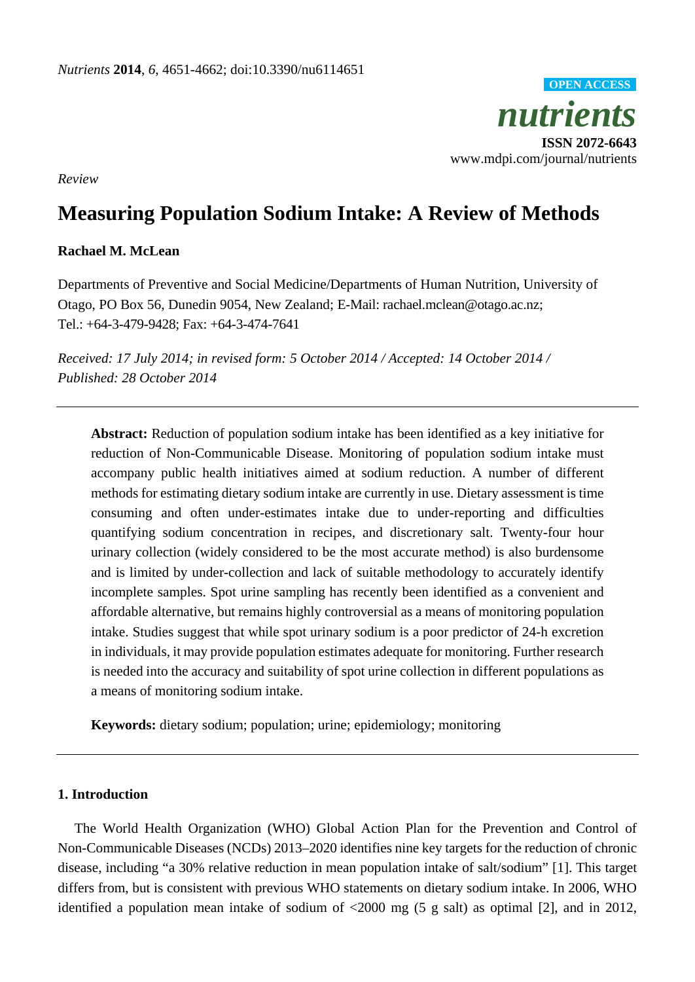

*Review*

# **Measuring Population Sodium Intake: A Review of Methods**

# **Rachael M. McLean**

Departments of Preventive and Social Medicine/Departments of Human Nutrition, University of Otago, PO Box 56, Dunedin 9054, New Zealand; E-Mail: rachael.mclean@otago.ac.nz; Tel.: +64-3-479-9428; Fax: +64-3-474-7641

*Received: 17 July 2014; in revised form: 5 October 2014 / Accepted: 14 October 2014 / Published: 28 October 2014*

**Abstract:** Reduction of population sodium intake has been identified as a key initiative for reduction of Non-Communicable Disease. Monitoring of population sodium intake must accompany public health initiatives aimed at sodium reduction. A number of different methods for estimating dietary sodium intake are currently in use. Dietary assessment is time consuming and often under-estimates intake due to under-reporting and difficulties quantifying sodium concentration in recipes, and discretionary salt. Twenty-four hour urinary collection (widely considered to be the most accurate method) is also burdensome and is limited by under-collection and lack of suitable methodology to accurately identify incomplete samples. Spot urine sampling has recently been identified as a convenient and affordable alternative, but remains highly controversial as a means of monitoring population intake. Studies suggest that while spot urinary sodium is a poor predictor of 24-h excretion in individuals, it may provide population estimates adequate for monitoring. Further research is needed into the accuracy and suitability of spot urine collection in different populations as a means of monitoring sodium intake.

**Keywords:** dietary sodium; population; urine; epidemiology; monitoring

## **1. Introduction**

The World Health Organization (WHO) Global Action Plan for the Prevention and Control of Non-Communicable Diseases (NCDs) 2013–2020 identifies nine key targets for the reduction of chronic disease, including "a 30% relative reduction in mean population intake of salt/sodium" [1]. This target differs from, but is consistent with previous WHO statements on dietary sodium intake. In 2006, WHO identified a population mean intake of sodium of <2000 mg (5 g salt) as optimal [2], and in 2012,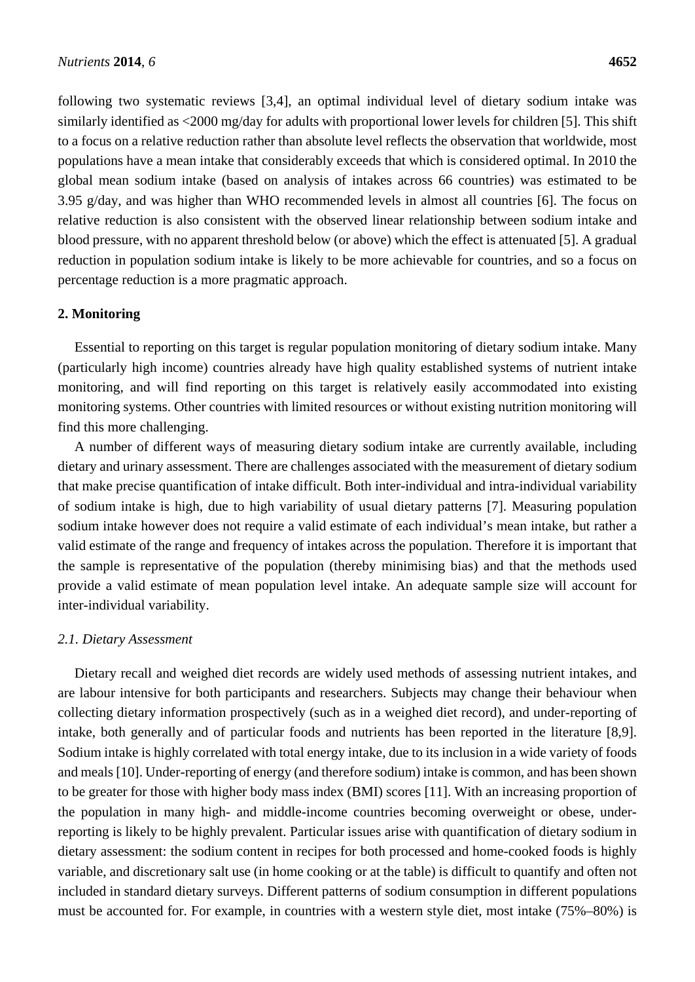following two systematic reviews [3,4], an optimal individual level of dietary sodium intake was similarly identified as <2000 mg/day for adults with proportional lower levels for children [5]. This shift to a focus on a relative reduction rather than absolute level reflects the observation that worldwide, most populations have a mean intake that considerably exceeds that which is considered optimal. In 2010 the global mean sodium intake (based on analysis of intakes across 66 countries) was estimated to be 3.95 g/day, and was higher than WHO recommended levels in almost all countries [6]. The focus on relative reduction is also consistent with the observed linear relationship between sodium intake and blood pressure, with no apparent threshold below (or above) which the effect is attenuated [5]. A gradual reduction in population sodium intake is likely to be more achievable for countries, and so a focus on percentage reduction is a more pragmatic approach.

## **2. Monitoring**

Essential to reporting on this target is regular population monitoring of dietary sodium intake. Many (particularly high income) countries already have high quality established systems of nutrient intake monitoring, and will find reporting on this target is relatively easily accommodated into existing monitoring systems. Other countries with limited resources or without existing nutrition monitoring will find this more challenging.

A number of different ways of measuring dietary sodium intake are currently available, including dietary and urinary assessment. There are challenges associated with the measurement of dietary sodium that make precise quantification of intake difficult. Both inter-individual and intra-individual variability of sodium intake is high, due to high variability of usual dietary patterns [7]. Measuring population sodium intake however does not require a valid estimate of each individual's mean intake, but rather a valid estimate of the range and frequency of intakes across the population. Therefore it is important that the sample is representative of the population (thereby minimising bias) and that the methods used provide a valid estimate of mean population level intake. An adequate sample size will account for inter-individual variability.

## *2.1. Dietary Assessment*

Dietary recall and weighed diet records are widely used methods of assessing nutrient intakes, and are labour intensive for both participants and researchers. Subjects may change their behaviour when collecting dietary information prospectively (such as in a weighed diet record), and under-reporting of intake, both generally and of particular foods and nutrients has been reported in the literature [8,9]. Sodium intake is highly correlated with total energy intake, due to its inclusion in a wide variety of foods and meals[10]. Under-reporting of energy (and therefore sodium) intake is common, and has been shown to be greater for those with higher body mass index (BMI) scores [11]. With an increasing proportion of the population in many high- and middle-income countries becoming overweight or obese, underreporting is likely to be highly prevalent. Particular issues arise with quantification of dietary sodium in dietary assessment: the sodium content in recipes for both processed and home-cooked foods is highly variable, and discretionary salt use (in home cooking or at the table) is difficult to quantify and often not included in standard dietary surveys. Different patterns of sodium consumption in different populations must be accounted for. For example, in countries with a western style diet, most intake (75%–80%) is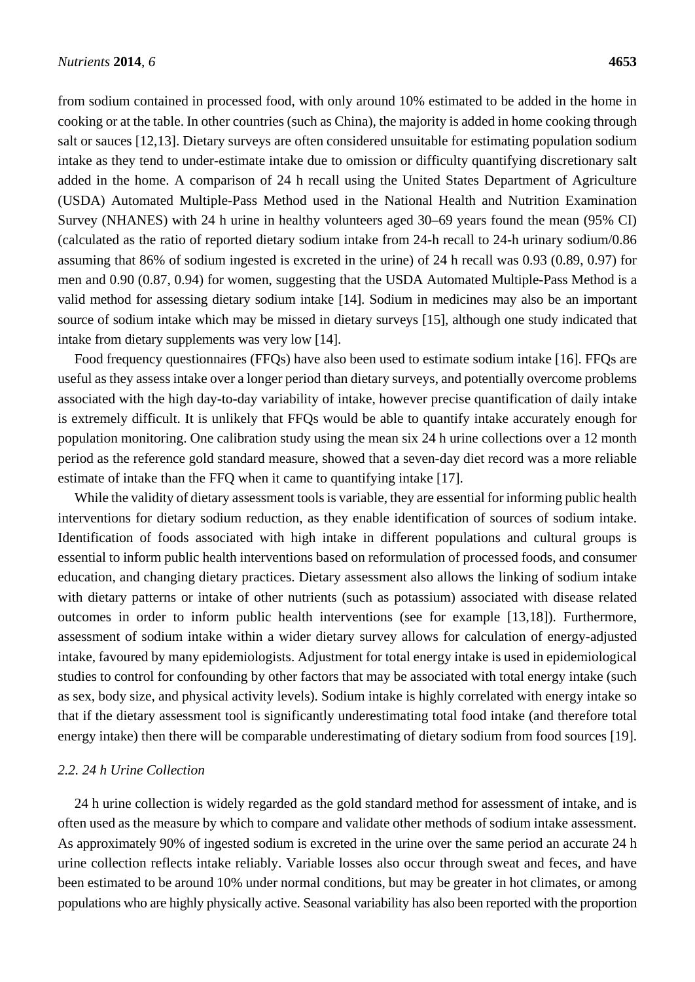from sodium contained in processed food, with only around 10% estimated to be added in the home in cooking or at the table. In other countries (such as China), the majority is added in home cooking through salt or sauces [12,13]. Dietary surveys are often considered unsuitable for estimating population sodium intake as they tend to under-estimate intake due to omission or difficulty quantifying discretionary salt added in the home. A comparison of 24 h recall using the United States Department of Agriculture (USDA) Automated Multiple-Pass Method used in the National Health and Nutrition Examination Survey (NHANES) with 24 h urine in healthy volunteers aged 30–69 years found the mean (95% CI) (calculated as the ratio of reported dietary sodium intake from 24-h recall to 24-h urinary sodium/0.86 assuming that 86% of sodium ingested is excreted in the urine) of 24 h recall was 0.93 (0.89, 0.97) for men and 0.90 (0.87, 0.94) for women, suggesting that the USDA Automated Multiple-Pass Method is a valid method for assessing dietary sodium intake [14]. Sodium in medicines may also be an important source of sodium intake which may be missed in dietary surveys [15], although one study indicated that intake from dietary supplements was very low [14].

Food frequency questionnaires (FFQs) have also been used to estimate sodium intake [16]. FFQs are useful as they assess intake over a longer period than dietary surveys, and potentially overcome problems associated with the high day-to-day variability of intake, however precise quantification of daily intake is extremely difficult. It is unlikely that FFQs would be able to quantify intake accurately enough for population monitoring. One calibration study using the mean six 24 h urine collections over a 12 month period as the reference gold standard measure, showed that a seven-day diet record was a more reliable estimate of intake than the FFQ when it came to quantifying intake [17].

While the validity of dietary assessment tools is variable, they are essential for informing public health interventions for dietary sodium reduction, as they enable identification of sources of sodium intake. Identification of foods associated with high intake in different populations and cultural groups is essential to inform public health interventions based on reformulation of processed foods, and consumer education, and changing dietary practices. Dietary assessment also allows the linking of sodium intake with dietary patterns or intake of other nutrients (such as potassium) associated with disease related outcomes in order to inform public health interventions (see for example [13,18]). Furthermore, assessment of sodium intake within a wider dietary survey allows for calculation of energy-adjusted intake, favoured by many epidemiologists. Adjustment for total energy intake is used in epidemiological studies to control for confounding by other factors that may be associated with total energy intake (such as sex, body size, and physical activity levels). Sodium intake is highly correlated with energy intake so that if the dietary assessment tool is significantly underestimating total food intake (and therefore total energy intake) then there will be comparable underestimating of dietary sodium from food sources [19].

## *2.2. 24 h Urine Collection*

24 h urine collection is widely regarded as the gold standard method for assessment of intake, and is often used as the measure by which to compare and validate other methods of sodium intake assessment. As approximately 90% of ingested sodium is excreted in the urine over the same period an accurate 24 h urine collection reflects intake reliably. Variable losses also occur through sweat and feces, and have been estimated to be around 10% under normal conditions, but may be greater in hot climates, or among populations who are highly physically active. Seasonal variability has also been reported with the proportion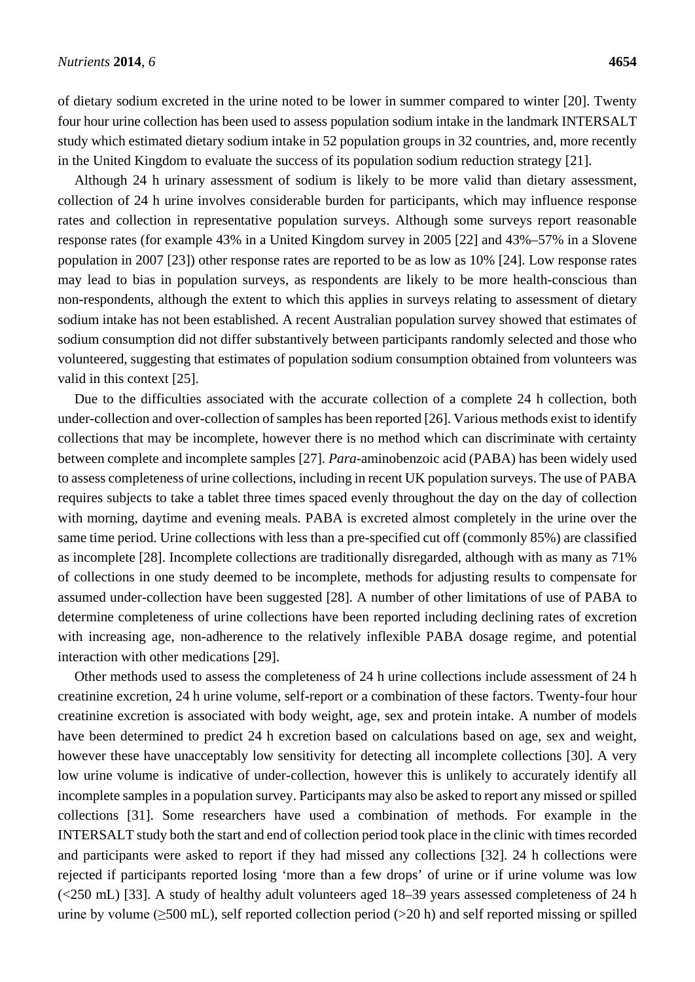of dietary sodium excreted in the urine noted to be lower in summer compared to winter [20]. Twenty four hour urine collection has been used to assess population sodium intake in the landmark INTERSALT study which estimated dietary sodium intake in 52 population groups in 32 countries, and, more recently in the United Kingdom to evaluate the success of its population sodium reduction strategy [21].

Although 24 h urinary assessment of sodium is likely to be more valid than dietary assessment, collection of 24 h urine involves considerable burden for participants, which may influence response rates and collection in representative population surveys. Although some surveys report reasonable response rates (for example 43% in a United Kingdom survey in 2005 [22] and 43%–57% in a Slovene population in 2007 [23]) other response rates are reported to be as low as 10% [24]. Low response rates may lead to bias in population surveys, as respondents are likely to be more health-conscious than non-respondents, although the extent to which this applies in surveys relating to assessment of dietary sodium intake has not been established. A recent Australian population survey showed that estimates of sodium consumption did not differ substantively between participants randomly selected and those who volunteered, suggesting that estimates of population sodium consumption obtained from volunteers was valid in this context [25].

Due to the difficulties associated with the accurate collection of a complete 24 h collection, both under-collection and over-collection of samples has been reported [26]. Various methods exist to identify collections that may be incomplete, however there is no method which can discriminate with certainty between complete and incomplete samples [27]. *Para*-aminobenzoic acid (PABA) has been widely used to assess completeness of urine collections, including in recent UK population surveys. The use of PABA requires subjects to take a tablet three times spaced evenly throughout the day on the day of collection with morning, daytime and evening meals. PABA is excreted almost completely in the urine over the same time period. Urine collections with less than a pre-specified cut off (commonly 85%) are classified as incomplete [28]. Incomplete collections are traditionally disregarded, although with as many as 71% of collections in one study deemed to be incomplete, methods for adjusting results to compensate for assumed under-collection have been suggested [28]. A number of other limitations of use of PABA to determine completeness of urine collections have been reported including declining rates of excretion with increasing age, non-adherence to the relatively inflexible PABA dosage regime, and potential interaction with other medications [29].

Other methods used to assess the completeness of 24 h urine collections include assessment of 24 h creatinine excretion, 24 h urine volume, self-report or a combination of these factors. Twenty-four hour creatinine excretion is associated with body weight, age, sex and protein intake. A number of models have been determined to predict 24 h excretion based on calculations based on age, sex and weight, however these have unacceptably low sensitivity for detecting all incomplete collections [30]. A very low urine volume is indicative of under-collection, however this is unlikely to accurately identify all incomplete samples in a population survey. Participants may also be asked to report any missed or spilled collections [31]. Some researchers have used a combination of methods. For example in the INTERSALT study both the start and end of collection period took place in the clinic with times recorded and participants were asked to report if they had missed any collections [32]. 24 h collections were rejected if participants reported losing 'more than a few drops' of urine or if urine volume was low (<250 mL) [33]. A study of healthy adult volunteers aged 18–39 years assessed completeness of 24 h urine by volume ( $\geq$ 500 mL), self reported collection period ( $>$ 20 h) and self reported missing or spilled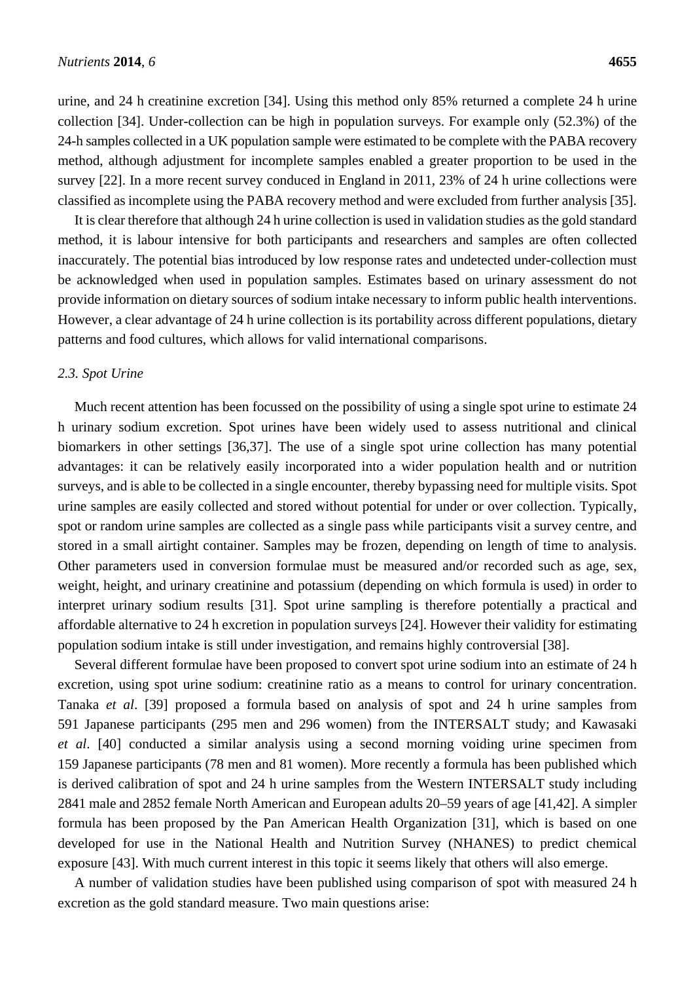urine, and 24 h creatinine excretion [34]. Using this method only 85% returned a complete 24 h urine collection [34]. Under-collection can be high in population surveys. For example only (52.3%) of the 24-h samples collected in a UK population sample were estimated to be complete with the PABA recovery method, although adjustment for incomplete samples enabled a greater proportion to be used in the survey [22]. In a more recent survey conduced in England in 2011, 23% of 24 h urine collections were classified as incomplete using the PABA recovery method and were excluded from further analysis [35].

It is clear therefore that although 24 h urine collection is used in validation studies as the gold standard method, it is labour intensive for both participants and researchers and samples are often collected inaccurately. The potential bias introduced by low response rates and undetected under-collection must be acknowledged when used in population samples. Estimates based on urinary assessment do not provide information on dietary sources of sodium intake necessary to inform public health interventions. However, a clear advantage of 24 h urine collection is its portability across different populations, dietary patterns and food cultures, which allows for valid international comparisons.

#### *2.3. Spot Urine*

Much recent attention has been focussed on the possibility of using a single spot urine to estimate 24 h urinary sodium excretion. Spot urines have been widely used to assess nutritional and clinical biomarkers in other settings [36,37]. The use of a single spot urine collection has many potential advantages: it can be relatively easily incorporated into a wider population health and or nutrition surveys, and is able to be collected in a single encounter, thereby bypassing need for multiple visits. Spot urine samples are easily collected and stored without potential for under or over collection. Typically, spot or random urine samples are collected as a single pass while participants visit a survey centre, and stored in a small airtight container. Samples may be frozen, depending on length of time to analysis. Other parameters used in conversion formulae must be measured and/or recorded such as age, sex, weight, height, and urinary creatinine and potassium (depending on which formula is used) in order to interpret urinary sodium results [31]. Spot urine sampling is therefore potentially a practical and affordable alternative to 24 h excretion in population surveys [24]. However their validity for estimating population sodium intake is still under investigation, and remains highly controversial [38].

Several different formulae have been proposed to convert spot urine sodium into an estimate of 24 h excretion, using spot urine sodium: creatinine ratio as a means to control for urinary concentration. Tanaka *et al*. [39] proposed a formula based on analysis of spot and 24 h urine samples from 591 Japanese participants (295 men and 296 women) from the INTERSALT study; and Kawasaki *et al*. [40] conducted a similar analysis using a second morning voiding urine specimen from 159 Japanese participants (78 men and 81 women). More recently a formula has been published which is derived calibration of spot and 24 h urine samples from the Western INTERSALT study including 2841 male and 2852 female North American and European adults 20–59 years of age [41,42]. A simpler formula has been proposed by the Pan American Health Organization [31], which is based on one developed for use in the National Health and Nutrition Survey (NHANES) to predict chemical exposure [43]. With much current interest in this topic it seems likely that others will also emerge.

A number of validation studies have been published using comparison of spot with measured 24 h excretion as the gold standard measure. Two main questions arise: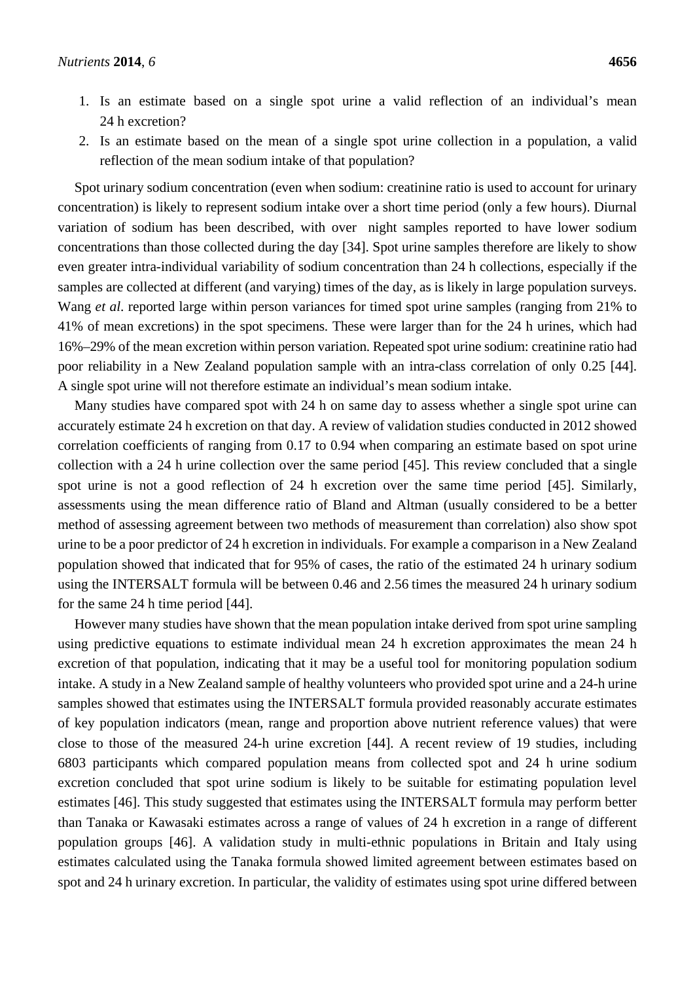- 1. Is an estimate based on a single spot urine a valid reflection of an individual's mean 24 h excretion?
- 2. Is an estimate based on the mean of a single spot urine collection in a population, a valid reflection of the mean sodium intake of that population?

Spot urinary sodium concentration (even when sodium: creatinine ratio is used to account for urinary concentration) is likely to represent sodium intake over a short time period (only a few hours). Diurnal variation of sodium has been described, with over night samples reported to have lower sodium concentrations than those collected during the day [34]. Spot urine samples therefore are likely to show even greater intra-individual variability of sodium concentration than 24 h collections, especially if the samples are collected at different (and varying) times of the day, as is likely in large population surveys. Wang *et al.* reported large within person variances for timed spot urine samples (ranging from 21% to 41% of mean excretions) in the spot specimens. These were larger than for the 24 h urines, which had 16%–29% of the mean excretion within person variation. Repeated spot urine sodium: creatinine ratio had poor reliability in a New Zealand population sample with an intra-class correlation of only 0.25 [44]. A single spot urine will not therefore estimate an individual's mean sodium intake.

Many studies have compared spot with 24 h on same day to assess whether a single spot urine can accurately estimate 24 h excretion on that day. A review of validation studies conducted in 2012 showed correlation coefficients of ranging from 0.17 to 0.94 when comparing an estimate based on spot urine collection with a 24 h urine collection over the same period [45]. This review concluded that a single spot urine is not a good reflection of 24 h excretion over the same time period [45]. Similarly, assessments using the mean difference ratio of Bland and Altman (usually considered to be a better method of assessing agreement between two methods of measurement than correlation) also show spot urine to be a poor predictor of 24 h excretion in individuals. For example a comparison in a New Zealand population showed that indicated that for 95% of cases, the ratio of the estimated 24 h urinary sodium using the INTERSALT formula will be between 0.46 and 2.56 times the measured 24 h urinary sodium for the same 24 h time period [44].

However many studies have shown that the mean population intake derived from spot urine sampling using predictive equations to estimate individual mean 24 h excretion approximates the mean 24 h excretion of that population, indicating that it may be a useful tool for monitoring population sodium intake. A study in a New Zealand sample of healthy volunteers who provided spot urine and a 24-h urine samples showed that estimates using the INTERSALT formula provided reasonably accurate estimates of key population indicators (mean, range and proportion above nutrient reference values) that were close to those of the measured 24-h urine excretion [44]. A recent review of 19 studies, including 6803 participants which compared population means from collected spot and 24 h urine sodium excretion concluded that spot urine sodium is likely to be suitable for estimating population level estimates [46]. This study suggested that estimates using the INTERSALT formula may perform better than Tanaka or Kawasaki estimates across a range of values of 24 h excretion in a range of different population groups [46]. A validation study in multi-ethnic populations in Britain and Italy using estimates calculated using the Tanaka formula showed limited agreement between estimates based on spot and 24 h urinary excretion. In particular, the validity of estimates using spot urine differed between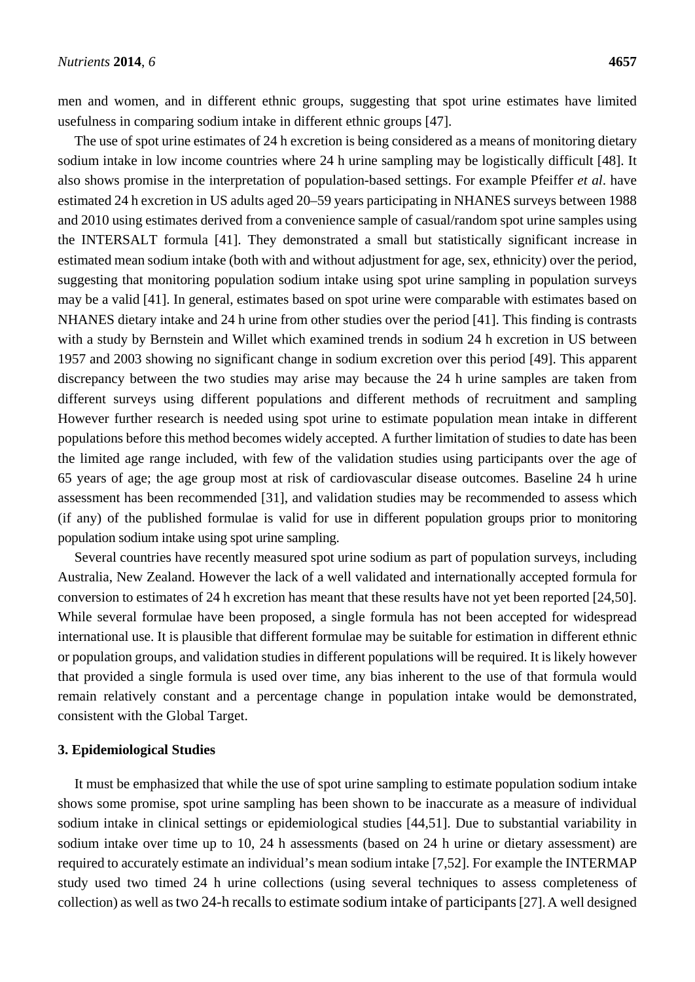men and women, and in different ethnic groups, suggesting that spot urine estimates have limited usefulness in comparing sodium intake in different ethnic groups [47].

The use of spot urine estimates of 24 h excretion is being considered as a means of monitoring dietary sodium intake in low income countries where 24 h urine sampling may be logistically difficult [48]. It also shows promise in the interpretation of population-based settings. For example Pfeiffer *et al*. have estimated 24 h excretion in US adults aged 20–59 years participating in NHANES surveys between 1988 and 2010 using estimates derived from a convenience sample of casual/random spot urine samples using the INTERSALT formula [41]. They demonstrated a small but statistically significant increase in estimated mean sodium intake (both with and without adjustment for age, sex, ethnicity) over the period, suggesting that monitoring population sodium intake using spot urine sampling in population surveys may be a valid [41]. In general, estimates based on spot urine were comparable with estimates based on NHANES dietary intake and 24 h urine from other studies over the period [41]. This finding is contrasts with a study by Bernstein and Willet which examined trends in sodium 24 h excretion in US between 1957 and 2003 showing no significant change in sodium excretion over this period [49]. This apparent discrepancy between the two studies may arise may because the 24 h urine samples are taken from different surveys using different populations and different methods of recruitment and sampling However further research is needed using spot urine to estimate population mean intake in different populations before this method becomes widely accepted. A further limitation of studies to date has been the limited age range included, with few of the validation studies using participants over the age of 65 years of age; the age group most at risk of cardiovascular disease outcomes. Baseline 24 h urine assessment has been recommended [31], and validation studies may be recommended to assess which (if any) of the published formulae is valid for use in different population groups prior to monitoring population sodium intake using spot urine sampling.

Several countries have recently measured spot urine sodium as part of population surveys, including Australia, New Zealand. However the lack of a well validated and internationally accepted formula for conversion to estimates of 24 h excretion has meant that these results have not yet been reported [24,50]. While several formulae have been proposed, a single formula has not been accepted for widespread international use. It is plausible that different formulae may be suitable for estimation in different ethnic or population groups, and validation studies in different populations will be required. It is likely however that provided a single formula is used over time, any bias inherent to the use of that formula would remain relatively constant and a percentage change in population intake would be demonstrated, consistent with the Global Target.

### **3. Epidemiological Studies**

It must be emphasized that while the use of spot urine sampling to estimate population sodium intake shows some promise, spot urine sampling has been shown to be inaccurate as a measure of individual sodium intake in clinical settings or epidemiological studies [44,51]. Due to substantial variability in sodium intake over time up to 10, 24 h assessments (based on 24 h urine or dietary assessment) are required to accurately estimate an individual's mean sodium intake [7,52]. For example the INTERMAP study used two timed 24 h urine collections (using several techniques to assess completeness of collection) as well as two 24-h recalls to estimate sodium intake of participants[27].A well designed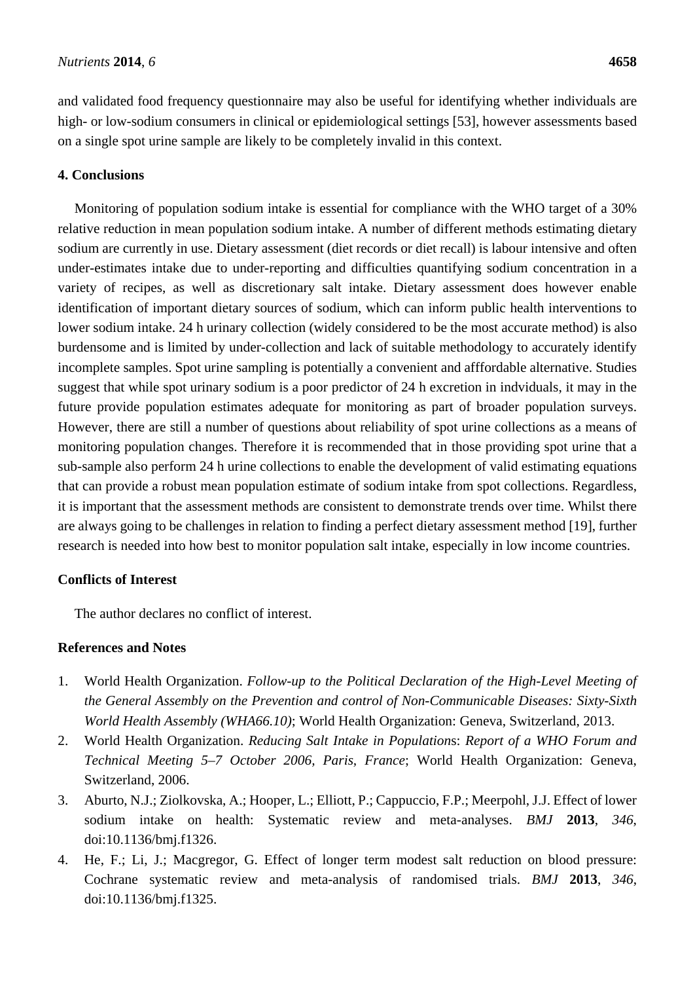and validated food frequency questionnaire may also be useful for identifying whether individuals are high- or low-sodium consumers in clinical or epidemiological settings [53], however assessments based on a single spot urine sample are likely to be completely invalid in this context.

# **4. Conclusions**

Monitoring of population sodium intake is essential for compliance with the WHO target of a 30% relative reduction in mean population sodium intake. A number of different methods estimating dietary sodium are currently in use. Dietary assessment (diet records or diet recall) is labour intensive and often under-estimates intake due to under-reporting and difficulties quantifying sodium concentration in a variety of recipes, as well as discretionary salt intake. Dietary assessment does however enable identification of important dietary sources of sodium, which can inform public health interventions to lower sodium intake. 24 h urinary collection (widely considered to be the most accurate method) is also burdensome and is limited by under-collection and lack of suitable methodology to accurately identify incomplete samples. Spot urine sampling is potentially a convenient and afffordable alternative. Studies suggest that while spot urinary sodium is a poor predictor of 24 h excretion in indviduals, it may in the future provide population estimates adequate for monitoring as part of broader population surveys. However, there are still a number of questions about reliability of spot urine collections as a means of monitoring population changes. Therefore it is recommended that in those providing spot urine that a sub-sample also perform 24 h urine collections to enable the development of valid estimating equations that can provide a robust mean population estimate of sodium intake from spot collections. Regardless, it is important that the assessment methods are consistent to demonstrate trends over time. Whilst there are always going to be challenges in relation to finding a perfect dietary assessment method [19], further research is needed into how best to monitor population salt intake, especially in low income countries.

# **Conflicts of Interest**

The author declares no conflict of interest.

# **References and Notes**

- 1. World Health Organization. *Follow-up to the Political Declaration of the High-Level Meeting of the General Assembly on the Prevention and control of Non-Communicable Diseases: Sixty-Sixth World Health Assembly (WHA66.10)*; World Health Organization: Geneva, Switzerland, 2013.
- 2. World Health Organization. *Reducing Salt Intake in Population*s: *Report of a WHO Forum and Technical Meeting 5–7 October 2006, Paris, France*; World Health Organization: Geneva, Switzerland, 2006.
- 3. Aburto, N.J.; Ziolkovska, A.; Hooper, L.; Elliott, P.; Cappuccio, F.P.; Meerpohl, J.J. Effect of lower sodium intake on health: Systematic review and meta-analyses. *BMJ* **2013**, *346*, doi:10.1136/bmj.f1326.
- 4. He, F.; Li, J.; Macgregor, G. Effect of longer term modest salt reduction on blood pressure: Cochrane systematic review and meta-analysis of randomised trials. *BMJ* **2013**, *346*, doi:10.1136/bmj.f1325.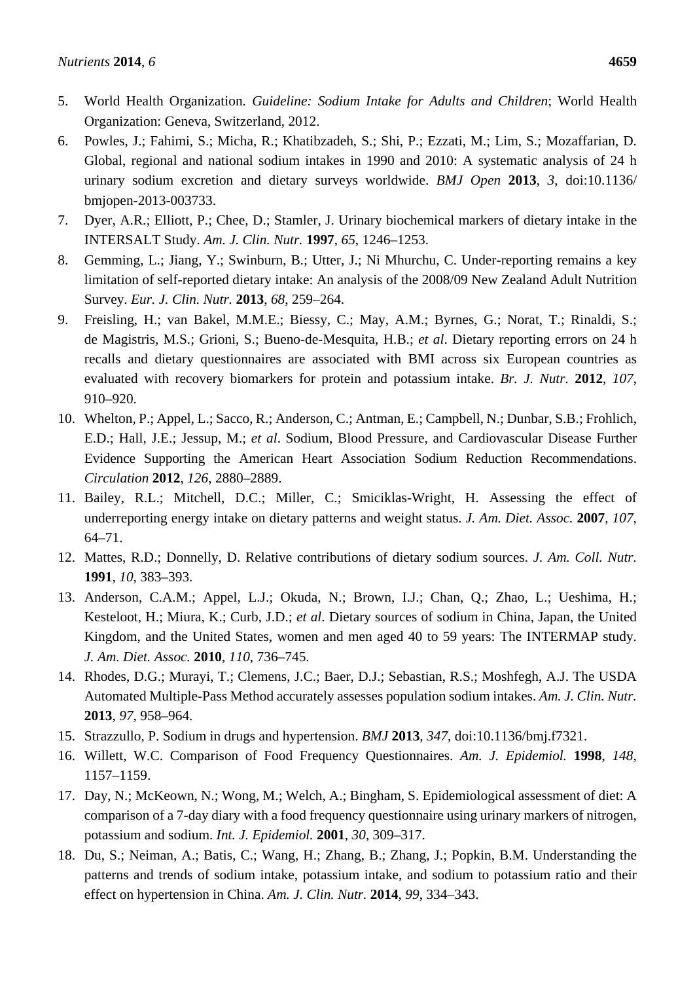- 5. World Health Organization. *Guideline: Sodium Intake for Adults and Children*; World Health Organization: Geneva, Switzerland, 2012.
- 6. Powles, J.; Fahimi, S.; Micha, R.; Khatibzadeh, S.; Shi, P.; Ezzati, M.; Lim, S.; Mozaffarian, D. Global, regional and national sodium intakes in 1990 and 2010: A systematic analysis of 24 h urinary sodium excretion and dietary surveys worldwide. *BMJ Open* **2013**, *3*, doi:10.1136/ bmjopen-2013-003733.
- 7. Dyer, A.R.; Elliott, P.; Chee, D.; Stamler, J. Urinary biochemical markers of dietary intake in the INTERSALT Study. *Am. J. Clin. Nutr.* **1997**, *65*, 1246–1253.
- 8. Gemming, L.; Jiang, Y.; Swinburn, B.; Utter, J.; Ni Mhurchu, C. Under-reporting remains a key limitation of self-reported dietary intake: An analysis of the 2008/09 New Zealand Adult Nutrition Survey. *Eur. J. Clin. Nutr.* **2013**, *68*, 259–264.
- 9. Freisling, H.; van Bakel, M.M.E.; Biessy, C.; May, A.M.; Byrnes, G.; Norat, T.; Rinaldi, S.; de Magistris, M.S.; Grioni, S.; Bueno-de-Mesquita, H.B.; *et al*. Dietary reporting errors on 24 h recalls and dietary questionnaires are associated with BMI across six European countries as evaluated with recovery biomarkers for protein and potassium intake. *Br. J. Nutr.* **2012**, *107*, 910–920.
- 10. Whelton, P.; Appel, L.; Sacco, R.; Anderson, C.; Antman, E.; Campbell, N.; Dunbar, S.B.; Frohlich, E.D.; Hall, J.E.; Jessup, M.; *et al*. Sodium, Blood Pressure, and Cardiovascular Disease Further Evidence Supporting the American Heart Association Sodium Reduction Recommendations. *Circulation* **2012**, *126*, 2880–2889.
- 11. Bailey, R.L.; Mitchell, D.C.; Miller, C.; Smiciklas-Wright, H. Assessing the effect of underreporting energy intake on dietary patterns and weight status. *J. Am. Diet. Assoc.* **2007**, *107*, 64–71.
- 12. Mattes, R.D.; Donnelly, D. Relative contributions of dietary sodium sources. *J. Am. Coll. Nutr.* **1991**, *10*, 383–393.
- 13. Anderson, C.A.M.; Appel, L.J.; Okuda, N.; Brown, I.J.; Chan, Q.; Zhao, L.; Ueshima, H.; Kesteloot, H.; Miura, K.; Curb, J.D.; *et al*. Dietary sources of sodium in China, Japan, the United Kingdom, and the United States, women and men aged 40 to 59 years: The INTERMAP study. *J. Am. Diet. Assoc.* **2010**, *110*, 736–745.
- 14. Rhodes, D.G.; Murayi, T.; Clemens, J.C.; Baer, D.J.; Sebastian, R.S.; Moshfegh, A.J. The USDA Automated Multiple-Pass Method accurately assesses population sodium intakes. *Am. J. Clin. Nutr.* **2013**, *97*, 958–964.
- 15. Strazzullo, P. Sodium in drugs and hypertension. *BMJ* **2013**, *347*, doi:10.1136/bmj.f7321.
- 16. Willett, W.C. Comparison of Food Frequency Questionnaires. *Am. J. Epidemiol.* **1998**, *148*, 1157–1159.
- 17. Day, N.; McKeown, N.; Wong, M.; Welch, A.; Bingham, S. Epidemiological assessment of diet: A comparison of a 7-day diary with a food frequency questionnaire using urinary markers of nitrogen, potassium and sodium. *Int. J. Epidemiol.* **2001**, *30*, 309–317.
- 18. Du, S.; Neiman, A.; Batis, C.; Wang, H.; Zhang, B.; Zhang, J.; Popkin, B.M. Understanding the patterns and trends of sodium intake, potassium intake, and sodium to potassium ratio and their effect on hypertension in China. *Am. J. Clin. Nutr.* **2014**, *99*, 334–343.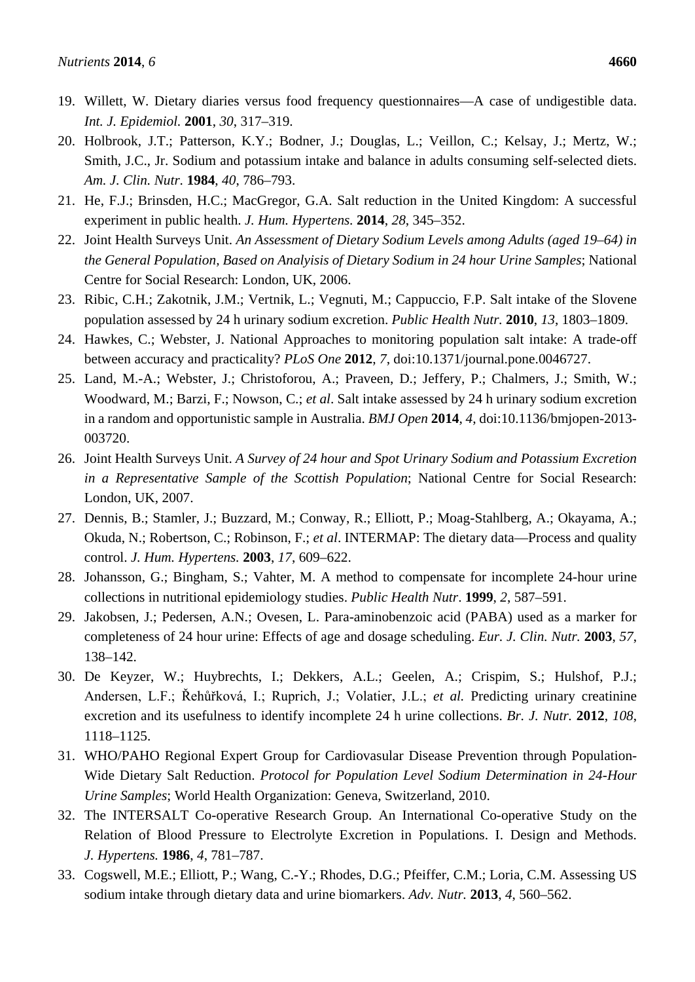- 19. Willett, W. Dietary diaries versus food frequency questionnaires—A case of undigestible data. *Int. J. Epidemiol.* **2001**, *30*, 317–319.
- 20. Holbrook, J.T.; Patterson, K.Y.; Bodner, J.; Douglas, L.; Veillon, C.; Kelsay, J.; Mertz, W.; Smith, J.C., Jr. Sodium and potassium intake and balance in adults consuming self-selected diets. *Am. J. Clin. Nutr.* **1984**, *40*, 786–793.
- 21. He, F.J.; Brinsden, H.C.; MacGregor, G.A. Salt reduction in the United Kingdom: A successful experiment in public health. *J. Hum. Hypertens.* **2014**, *28*, 345–352.
- 22. Joint Health Surveys Unit. *An Assessment of Dietary Sodium Levels among Adults (aged 19–64) in the General Population, Based on Analyisis of Dietary Sodium in 24 hour Urine Samples*; National Centre for Social Research: London, UK, 2006.
- 23. Ribic, C.H.; Zakotnik, J.M.; Vertnik, L.; Vegnuti, M.; Cappuccio, F.P. Salt intake of the Slovene population assessed by 24 h urinary sodium excretion. *Public Health Nutr.* **2010**, *13*, 1803–1809.
- 24. Hawkes, C.; Webster, J. National Approaches to monitoring population salt intake: A trade-off between accuracy and practicality? *PLoS One* **2012**, *7*, doi:10.1371/journal.pone.0046727.
- 25. Land, M.-A.; Webster, J.; Christoforou, A.; Praveen, D.; Jeffery, P.; Chalmers, J.; Smith, W.; Woodward, M.; Barzi, F.; Nowson, C.; *et al*. Salt intake assessed by 24 h urinary sodium excretion in a random and opportunistic sample in Australia. *BMJ Open* **2014**, *4*, doi:10.1136/bmjopen-2013- 003720.
- 26. Joint Health Surveys Unit. *A Survey of 24 hour and Spot Urinary Sodium and Potassium Excretion in a Representative Sample of the Scottish Population*; National Centre for Social Research: London, UK, 2007.
- 27. Dennis, B.; Stamler, J.; Buzzard, M.; Conway, R.; Elliott, P.; Moag-Stahlberg, A.; Okayama, A.; Okuda, N.; Robertson, C.; Robinson, F.; *et al*. INTERMAP: The dietary data—Process and quality control. *J. Hum. Hypertens.* **2003**, *17*, 609–622.
- 28. Johansson, G.; Bingham, S.; Vahter, M. A method to compensate for incomplete 24-hour urine collections in nutritional epidemiology studies. *Public Health Nutr*. **1999**, *2*, 587–591.
- 29. Jakobsen, J.; Pedersen, A.N.; Ovesen, L. Para-aminobenzoic acid (PABA) used as a marker for completeness of 24 hour urine: Effects of age and dosage scheduling. *Eur. J. Clin. Nutr.* **2003**, *57*, 138–142.
- 30. De Keyzer, W.; Huybrechts, I.; Dekkers, A.L.; Geelen, A.; Crispim, S.; Hulshof, P.J.; Andersen, L.F.; Řehůřková, I.; Ruprich, J.; Volatier, J.L.; *et al.* Predicting urinary creatinine excretion and its usefulness to identify incomplete 24 h urine collections. *Br. J. Nutr.* **2012**, *108*, 1118–1125.
- 31. WHO/PAHO Regional Expert Group for Cardiovasular Disease Prevention through Population-Wide Dietary Salt Reduction. *Protocol for Population Level Sodium Determination in 24-Hour Urine Samples*; World Health Organization: Geneva, Switzerland, 2010.
- 32. The INTERSALT Co-operative Research Group. An International Co-operative Study on the Relation of Blood Pressure to Electrolyte Excretion in Populations. I. Design and Methods. *J. Hypertens.* **1986**, *4*, 781–787.
- 33. Cogswell, M.E.; Elliott, P.; Wang, C.-Y.; Rhodes, D.G.; Pfeiffer, C.M.; Loria, C.M. Assessing US sodium intake through dietary data and urine biomarkers. *Adv. Nutr.* **2013**, *4*, 560–562.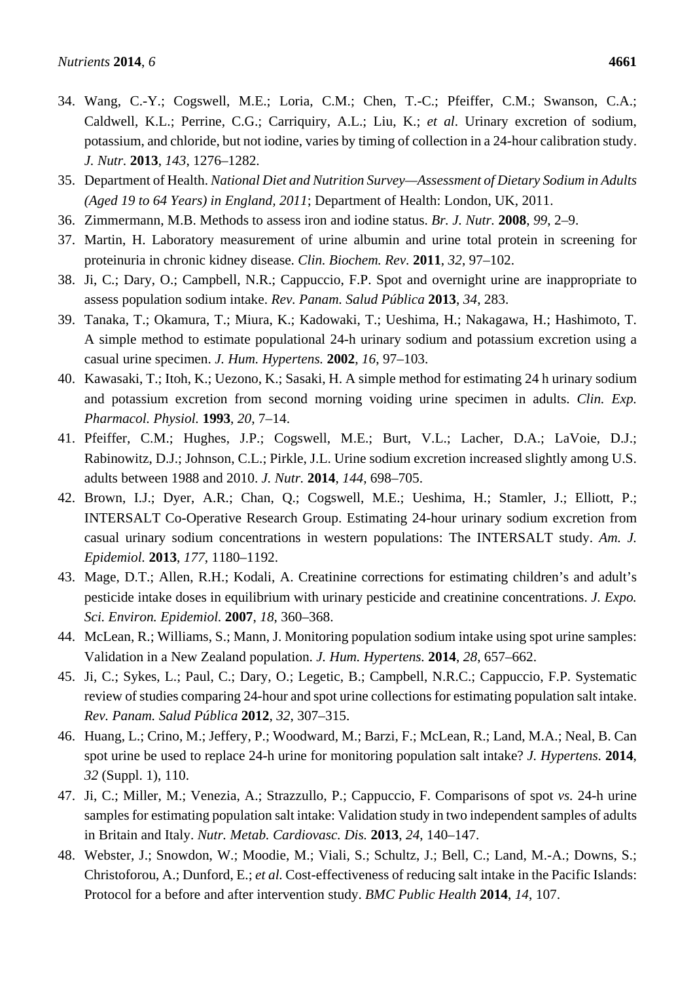- 34. Wang, C.-Y.; Cogswell, M.E.; Loria, C.M.; Chen, T.-C.; Pfeiffer, C.M.; Swanson, C.A.; Caldwell, K.L.; Perrine, C.G.; Carriquiry, A.L.; Liu, K.; *et al*. Urinary excretion of sodium, potassium, and chloride, but not iodine, varies by timing of collection in a 24-hour calibration study. *J. Nutr.* **2013**, *143*, 1276–1282.
- 35. Department of Health. *National Diet and Nutrition Survey—Assessment of Dietary Sodium in Adults (Aged 19 to 64 Years) in England, 2011*; Department of Health: London, UK, 2011.
- 36. Zimmermann, M.B. Methods to assess iron and iodine status. *Br. J. Nutr.* **2008**, *99*, 2–9.
- 37. Martin, H. Laboratory measurement of urine albumin and urine total protein in screening for proteinuria in chronic kidney disease. *Clin. Biochem. Rev.* **2011**, *32*, 97–102.
- 38. Ji, C.; Dary, O.; Campbell, N.R.; Cappuccio, F.P. Spot and overnight urine are inappropriate to assess population sodium intake. *Rev. Panam. Salud Pública* **2013**, *34*, 283.
- 39. Tanaka, T.; Okamura, T.; Miura, K.; Kadowaki, T.; Ueshima, H.; Nakagawa, H.; Hashimoto, T. A simple method to estimate populational 24-h urinary sodium and potassium excretion using a casual urine specimen. *J. Hum. Hypertens.* **2002**, *16*, 97–103.
- 40. Kawasaki, T.; Itoh, K.; Uezono, K.; Sasaki, H. A simple method for estimating 24 h urinary sodium and potassium excretion from second morning voiding urine specimen in adults. *Clin. Exp. Pharmacol. Physiol.* **1993**, *20*, 7–14.
- 41. Pfeiffer, C.M.; Hughes, J.P.; Cogswell, M.E.; Burt, V.L.; Lacher, D.A.; LaVoie, D.J.; Rabinowitz, D.J.; Johnson, C.L.; Pirkle, J.L. Urine sodium excretion increased slightly among U.S. adults between 1988 and 2010. *J. Nutr.* **2014**, *144*, 698–705.
- 42. Brown, I.J.; Dyer, A.R.; Chan, Q.; Cogswell, M.E.; Ueshima, H.; Stamler, J.; Elliott, P.; INTERSALT Co-Operative Research Group. Estimating 24-hour urinary sodium excretion from casual urinary sodium concentrations in western populations: The INTERSALT study. *Am. J. Epidemiol.* **2013**, *177*, 1180–1192.
- 43. Mage, D.T.; Allen, R.H.; Kodali, A. Creatinine corrections for estimating children's and adult's pesticide intake doses in equilibrium with urinary pesticide and creatinine concentrations. *J. Expo. Sci. Environ. Epidemiol.* **2007**, *18*, 360–368.
- 44. McLean, R.; Williams, S.; Mann, J. Monitoring population sodium intake using spot urine samples: Validation in a New Zealand population. *J. Hum. Hypertens.* **2014**, *28*, 657–662.
- 45. Ji, C.; Sykes, L.; Paul, C.; Dary, O.; Legetic, B.; Campbell, N.R.C.; Cappuccio, F.P. Systematic review of studies comparing 24-hour and spot urine collections for estimating population salt intake. *Rev. Panam. Salud Pública* **2012**, *32*, 307–315.
- 46. Huang, L.; Crino, M.; Jeffery, P.; Woodward, M.; Barzi, F.; McLean, R.; Land, M.A.; Neal, B. Can spot urine be used to replace 24-h urine for monitoring population salt intake? *J. Hypertens.* **2014**, *32* (Suppl. 1), 110.
- 47. Ji, C.; Miller, M.; Venezia, A.; Strazzullo, P.; Cappuccio, F. Comparisons of spot *vs.* 24-h urine samples for estimating population salt intake: Validation study in two independent samples of adults in Britain and Italy. *Nutr. Metab. Cardiovasc. Dis.* **2013**, *24*, 140–147.
- 48. Webster, J.; Snowdon, W.; Moodie, M.; Viali, S.; Schultz, J.; Bell, C.; Land, M.-A.; Downs, S.; Christoforou, A.; Dunford, E.; *et al.* Cost-effectiveness of reducing salt intake in the Pacific Islands: Protocol for a before and after intervention study. *BMC Public Health* **2014**, *14*, 107.